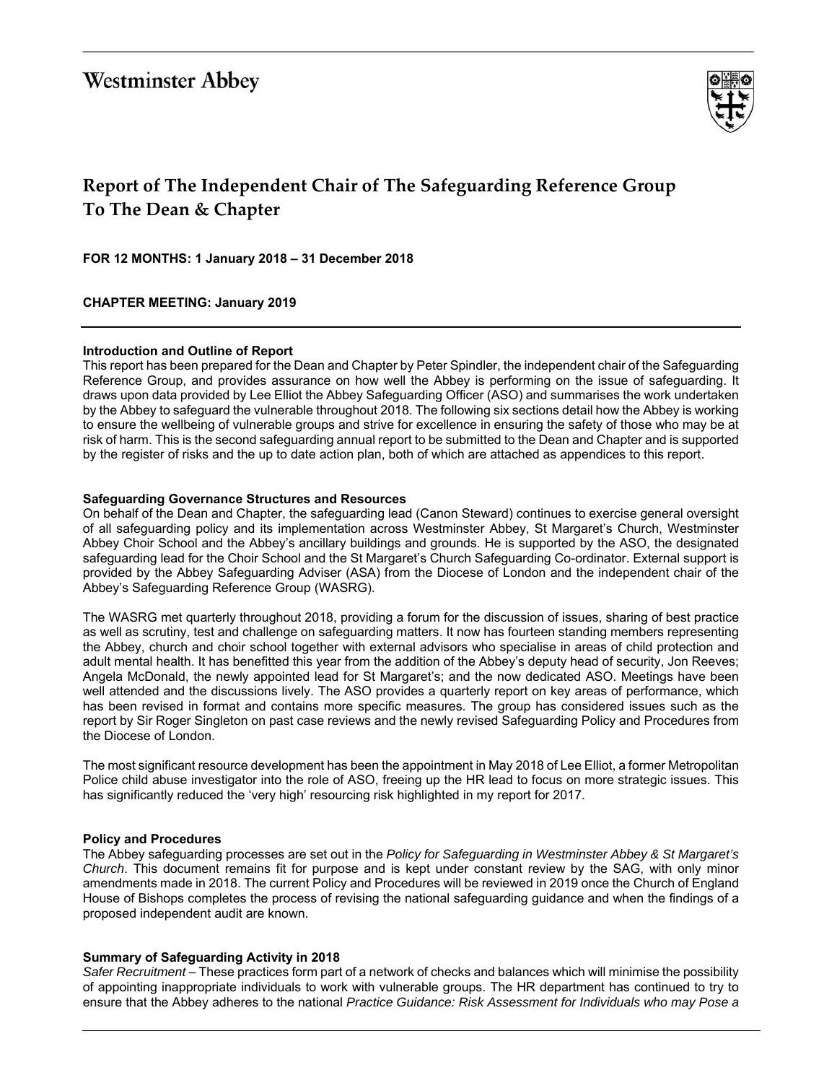# **Westminster Abbey**



## **Report of The Independent Chair of The Safeguarding Reference Group To The Dean & Chapter**

**FOR 12 MONTHS: 1 January 2018 – 31 December 2018** 

**CHAPTER MEETING: January 2019** 

#### **Introduction and Outline of Report**

This report has been prepared for the Dean and Chapter by Peter Spindler, the independent chair of the Safeguarding Reference Group, and provides assurance on how well the Abbey is performing on the issue of safeguarding. It draws upon data provided by Lee Elliot the Abbey Safeguarding Officer (ASO) and summarises the work undertaken by the Abbey to safeguard the vulnerable throughout 2018. The following six sections detail how the Abbey is working to ensure the wellbeing of vulnerable groups and strive for excellence in ensuring the safety of those who may be at risk of harm. This is the second safeguarding annual report to be submitted to the Dean and Chapter and is supported by the register of risks and the up to date action plan, both of which are attached as appendices to this report.

#### **Safeguarding Governance Structures and Resources**

On behalf of the Dean and Chapter, the safeguarding lead (Canon Steward) continues to exercise general oversight of all safeguarding policy and its implementation across Westminster Abbey, St Margaret's Church, Westminster Abbey Choir School and the Abbey's ancillary buildings and grounds. He is supported by the ASO, the designated safeguarding lead for the Choir School and the St Margaret's Church Safeguarding Co-ordinator. External support is provided by the Abbey Safeguarding Adviser (ASA) from the Diocese of London and the independent chair of the Abbey's Safeguarding Reference Group (WASRG).

The WASRG met quarterly throughout 2018, providing a forum for the discussion of issues, sharing of best practice as well as scrutiny, test and challenge on safeguarding matters. It now has fourteen standing members representing the Abbey, church and choir school together with external advisors who specialise in areas of child protection and adult mental health. It has benefitted this year from the addition of the Abbey's deputy head of security, Jon Reeves; Angela McDonald, the newly appointed lead for St Margaret's; and the now dedicated ASO. Meetings have been well attended and the discussions lively. The ASO provides a quarterly report on key areas of performance, which has been revised in format and contains more specific measures. The group has considered issues such as the report by Sir Roger Singleton on past case reviews and the newly revised Safeguarding Policy and Procedures from the Diocese of London.

The most significant resource development has been the appointment in May 2018 of Lee Elliot, a former Metropolitan Police child abuse investigator into the role of ASO, freeing up the HR lead to focus on more strategic issues. This has significantly reduced the 'very high' resourcing risk highlighted in my report for 2017.

### **Policy and Procedures**

The Abbey safeguarding processes are set out in the *Policy for Safeguarding in Westminster Abbey & St Margaret's Church*. This document remains fit for purpose and is kept under constant review by the SAG, with only minor amendments made in 2018. The current Policy and Procedures will be reviewed in 2019 once the Church of England House of Bishops completes the process of revising the national safeguarding guidance and when the findings of a proposed independent audit are known.

#### **Summary of Safeguarding Activity in 2018**

*Safer Recruitment* – These practices form part of a network of checks and balances which will minimise the possibility of appointing inappropriate individuals to work with vulnerable groups. The HR department has continued to try to ensure that the Abbey adheres to the national *Practice Guidance: Risk Assessment for Individuals who may Pose a*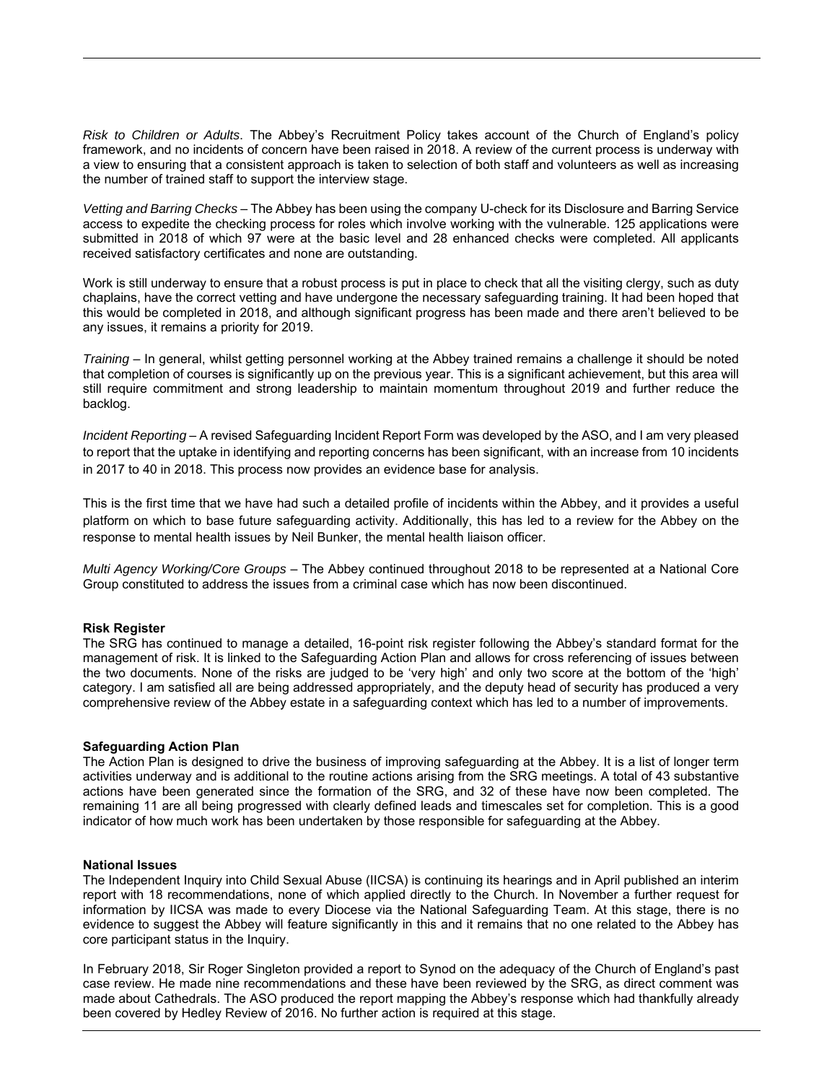*Risk to Children or Adults*. The Abbey's Recruitment Policy takes account of the Church of England's policy framework, and no incidents of concern have been raised in 2018. A review of the current process is underway with a view to ensuring that a consistent approach is taken to selection of both staff and volunteers as well as increasing the number of trained staff to support the interview stage.

*Vetting and Barring Checks* – The Abbey has been using the company U-check for its Disclosure and Barring Service access to expedite the checking process for roles which involve working with the vulnerable. 125 applications were submitted in 2018 of which 97 were at the basic level and 28 enhanced checks were completed. All applicants received satisfactory certificates and none are outstanding.

Work is still underway to ensure that a robust process is put in place to check that all the visiting clergy, such as duty chaplains, have the correct vetting and have undergone the necessary safeguarding training. It had been hoped that this would be completed in 2018, and although significant progress has been made and there aren't believed to be any issues, it remains a priority for 2019.

*Training* – In general, whilst getting personnel working at the Abbey trained remains a challenge it should be noted that completion of courses is significantly up on the previous year. This is a significant achievement, but this area will still require commitment and strong leadership to maintain momentum throughout 2019 and further reduce the backlog.

*Incident Reporting* – A revised Safeguarding Incident Report Form was developed by the ASO, and I am very pleased to report that the uptake in identifying and reporting concerns has been significant, with an increase from 10 incidents in 2017 to 40 in 2018. This process now provides an evidence base for analysis.

This is the first time that we have had such a detailed profile of incidents within the Abbey, and it provides a useful platform on which to base future safeguarding activity. Additionally, this has led to a review for the Abbey on the response to mental health issues by Neil Bunker, the mental health liaison officer.

*Multi Agency Working/Core Groups* – The Abbey continued throughout 2018 to be represented at a National Core Group constituted to address the issues from a criminal case which has now been discontinued.

#### **Risk Register**

The SRG has continued to manage a detailed, 16-point risk register following the Abbey's standard format for the management of risk. It is linked to the Safeguarding Action Plan and allows for cross referencing of issues between the two documents. None of the risks are judged to be 'very high' and only two score at the bottom of the 'high' category. I am satisfied all are being addressed appropriately, and the deputy head of security has produced a very comprehensive review of the Abbey estate in a safeguarding context which has led to a number of improvements.

#### **Safeguarding Action Plan**

The Action Plan is designed to drive the business of improving safeguarding at the Abbey. It is a list of longer term activities underway and is additional to the routine actions arising from the SRG meetings. A total of 43 substantive actions have been generated since the formation of the SRG, and 32 of these have now been completed. The remaining 11 are all being progressed with clearly defined leads and timescales set for completion. This is a good indicator of how much work has been undertaken by those responsible for safeguarding at the Abbey.

#### **National Issues**

The Independent Inquiry into Child Sexual Abuse (IICSA) is continuing its hearings and in April published an interim report with 18 recommendations, none of which applied directly to the Church. In November a further request for information by IICSA was made to every Diocese via the National Safeguarding Team. At this stage, there is no evidence to suggest the Abbey will feature significantly in this and it remains that no one related to the Abbey has core participant status in the Inquiry.

In February 2018, Sir Roger Singleton provided a report to Synod on the adequacy of the Church of England's past case review. He made nine recommendations and these have been reviewed by the SRG, as direct comment was made about Cathedrals. The ASO produced the report mapping the Abbey's response which had thankfully already been covered by Hedley Review of 2016. No further action is required at this stage.